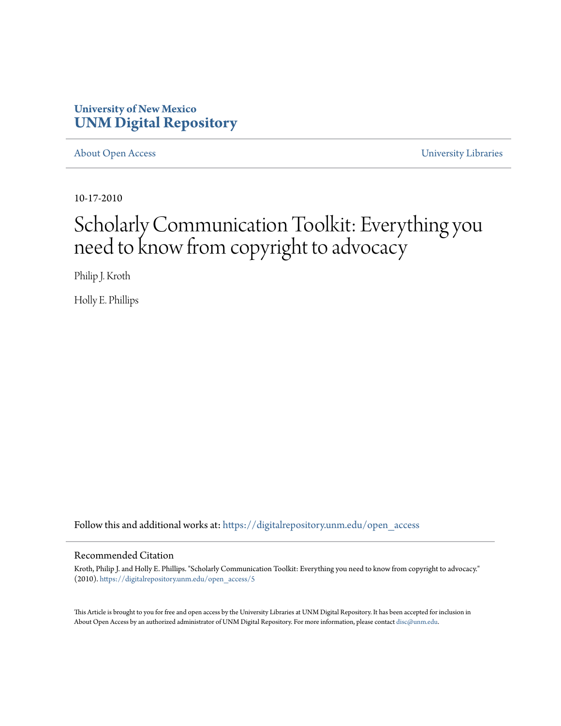#### **University of New Mexico [UNM Digital Repository](https://digitalrepository.unm.edu?utm_source=digitalrepository.unm.edu%2Fopen_access%2F5&utm_medium=PDF&utm_campaign=PDFCoverPages)**

[About Open Access](https://digitalrepository.unm.edu/open_access?utm_source=digitalrepository.unm.edu%2Fopen_access%2F5&utm_medium=PDF&utm_campaign=PDFCoverPages) [University Libraries](https://digitalrepository.unm.edu/libraries?utm_source=digitalrepository.unm.edu%2Fopen_access%2F5&utm_medium=PDF&utm_campaign=PDFCoverPages)

10-17-2010

#### Scholarly Communication Toolkit: Everything you need to know from copyright to advocacy

Philip J. Kroth

Holly E. Phillips

Follow this and additional works at: [https://digitalrepository.unm.edu/open\\_access](https://digitalrepository.unm.edu/open_access?utm_source=digitalrepository.unm.edu%2Fopen_access%2F5&utm_medium=PDF&utm_campaign=PDFCoverPages)

#### Recommended Citation

Kroth, Philip J. and Holly E. Phillips. "Scholarly Communication Toolkit: Everything you need to know from copyright to advocacy." (2010). [https://digitalrepository.unm.edu/open\\_access/5](https://digitalrepository.unm.edu/open_access/5?utm_source=digitalrepository.unm.edu%2Fopen_access%2F5&utm_medium=PDF&utm_campaign=PDFCoverPages)

This Article is brought to you for free and open access by the University Libraries at UNM Digital Repository. It has been accepted for inclusion in About Open Access by an authorized administrator of UNM Digital Repository. For more information, please contact [disc@unm.edu.](mailto:disc@unm.edu)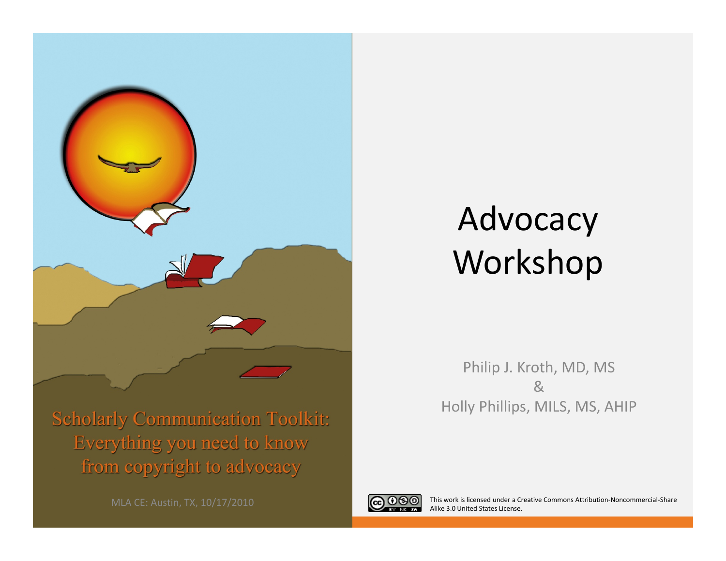

#### Advocacy Workshop

**Scholarly Communication Toolkit:** Everything you need to know from copyright to advocacy

Philip J. Kroth, MD, MS &Holly Phillips, MILS, MS, AHIP



This work is licensed under <sup>a</sup> Creative Commons Attribution‐Noncommercial‐Share Alike 3.0 United States License.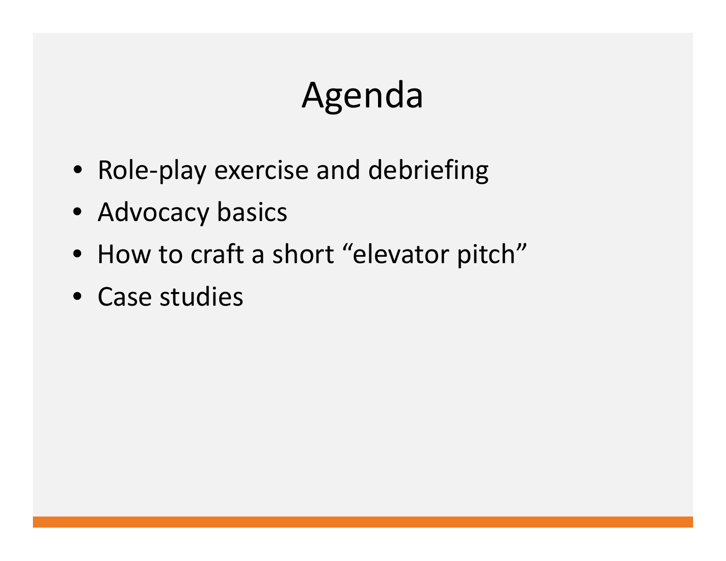# Agenda

- Role-play exercise and debriefing
- Advocacy basics
- How to craft <sup>a</sup> short "elevator pitch"
- Case studies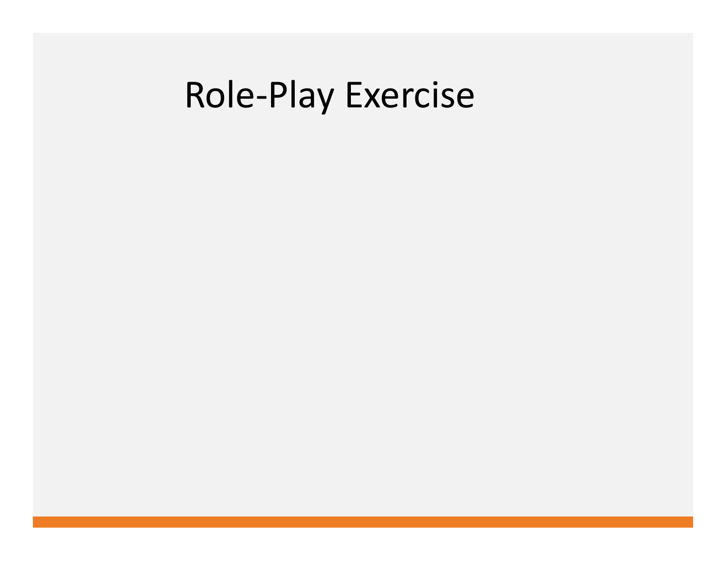#### Role‐Play Exercise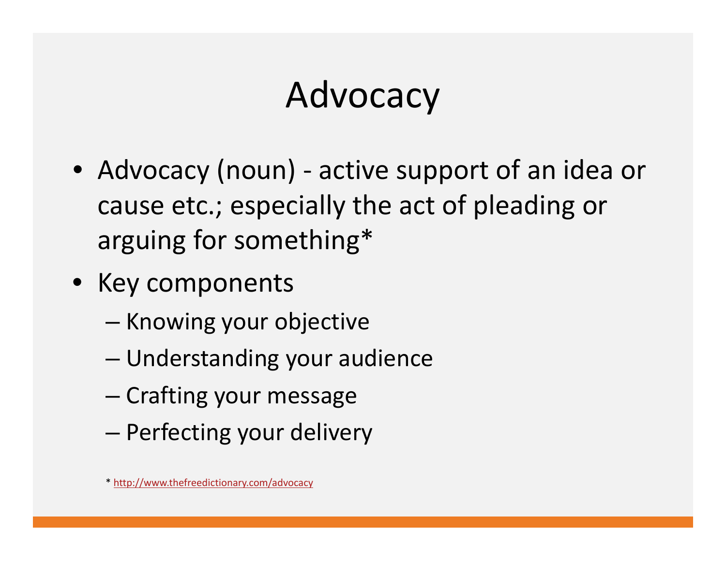# Advocacy

- Advocacy (noun) ‐ active support of an idea or cause etc.; especially the act of pleading or arguing for something\*
- Key components
	- –— Knowing your objective
	- –Understanding your audience
	- Crafting your message
	- –— Perfecting your delivery

<sup>\*</sup> <http://www.thefreedictionary.com/advocacy>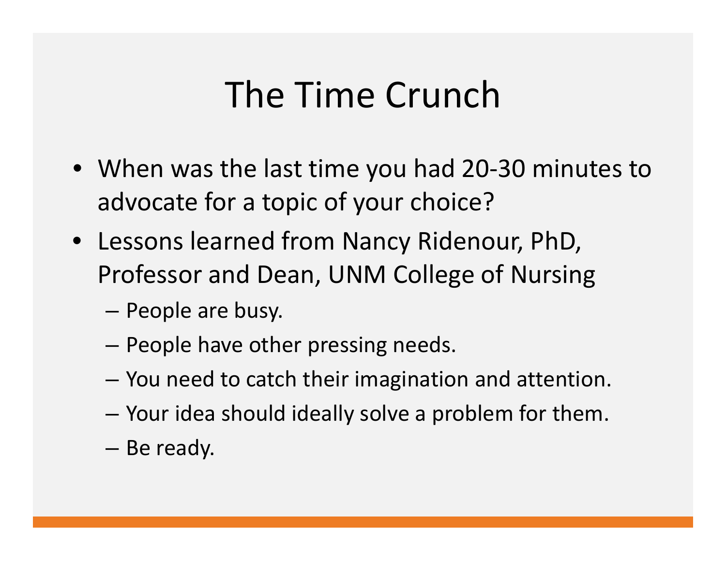### The Time Crunch

- When was the last time you had 20‐30 minutes to advocate for <sup>a</sup> topic of your choice?
- Lessons learned from Nancy Ridenour, PhD, Professor and Dean, UNM College of Nursing
	- – $-$  People are busy.
	- –– People have other pressing needs.
	- –You need to catch their imagination and attention.
	- –Your idea should ideally solve <sup>a</sup> problem for them.
	- –— Be ready.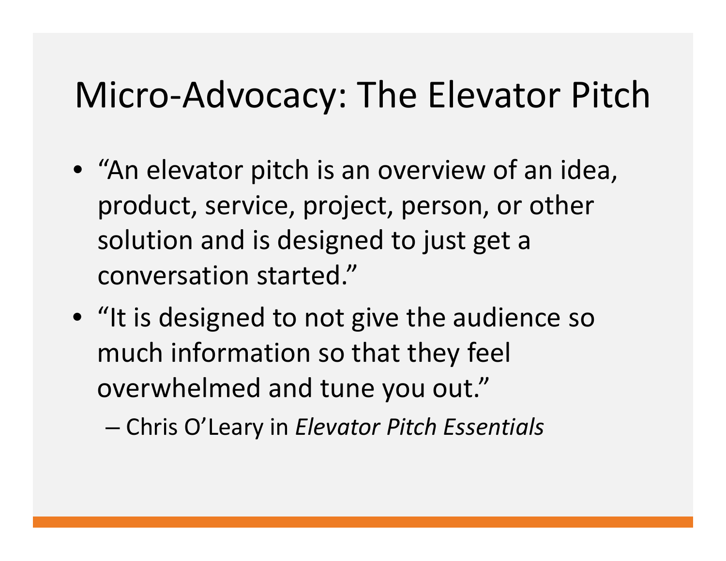### Micro‐Advocacy: The Elevator Pitch

- "An elevator pitch is an overview of an idea, product, service, project, person, or other solution and is designed to just get <sup>a</sup> conversation started."
- "It is designed to not give the audience so much information so that they feel overwhelmed and tune you out."

Chris O'Leary in *Elevator Pitch Essentials*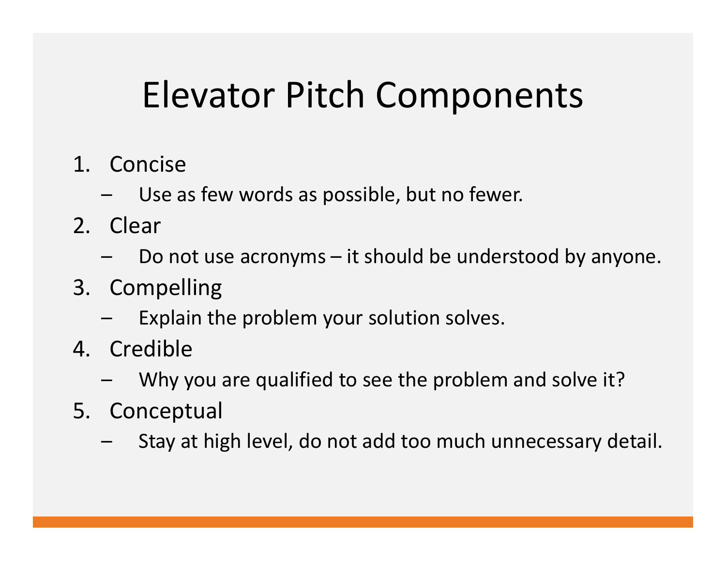# Elevator Pitch Components

- 1. Concise
	- –Use as few words as possible, but no fewer.
- 2. Clear
	- – $\,$  Do not use acronyms  $-$  it should be understood by anyone.
- 3. Compelling
	- –Explain the problem your solution solves.
- 4. Credible
	- –Why you are qualified to see the problem and solve it?
- 5. Conceptual
	- –Stay at high level, do not add too much unnecessary detail.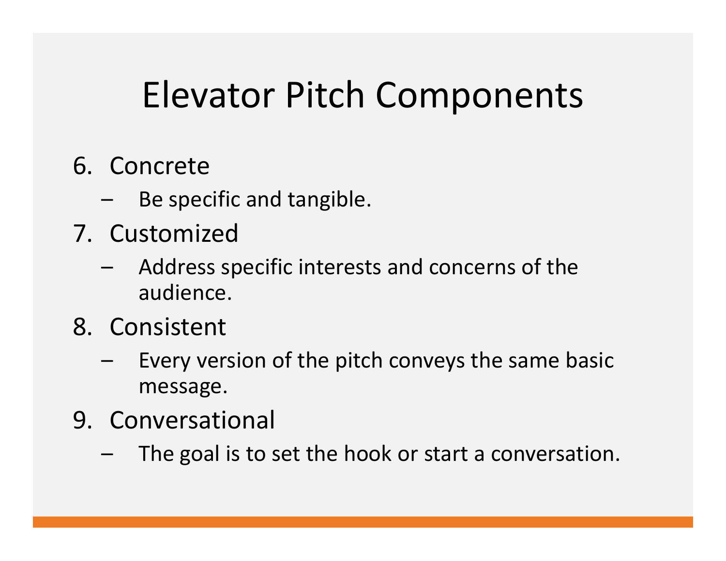## Elevator Pitch Components

- 6. Concrete
	- –Be specific and tangible.
- 7. Customized
	- – Address specific interests and concerns of the audience.
- 8. Consistent
	- – Every version of the pitch conveys the same basic message.
- 9. Conversational
	- –The goal is to set the hook or start <sup>a</sup> conversation.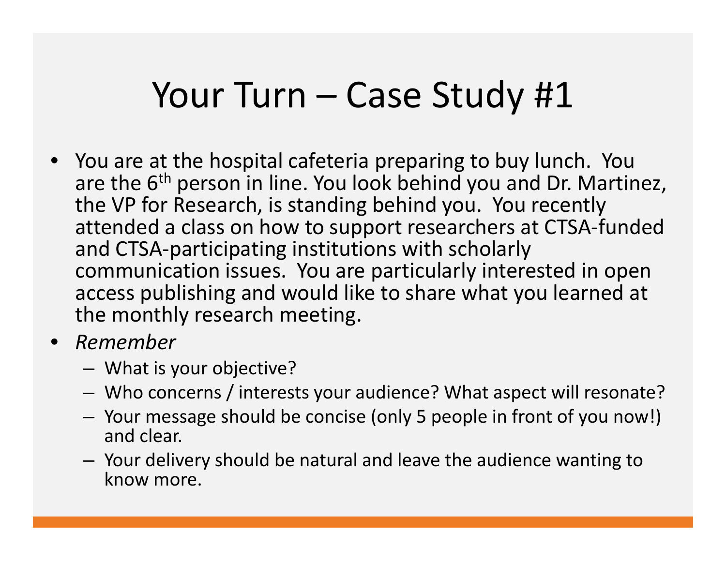#### Your Turn – Case Study #1

- You are at the hospital cafeteria preparing to buy lunch. You are the 6<sup>th</sup> person in line. You look behind you and Dr. Martinez, the VP for Research, is standing behind you. You recently attended <sup>a</sup> class on how to support researchers at CTSA‐funded and CTSA‐participating institutions with scholarly communication issues. You are particularly interested in open access publishing and would like to share what you learned at the monthly research meeting.
- *Remember*
	- –What is your objective?
	- –Who concerns / interests your audience? What aspect will resonate?
	- – Your message should be concise (only 5 people in front of you now!) and clear.
	- – Your delivery should be natural and leave the audience wanting to know more.